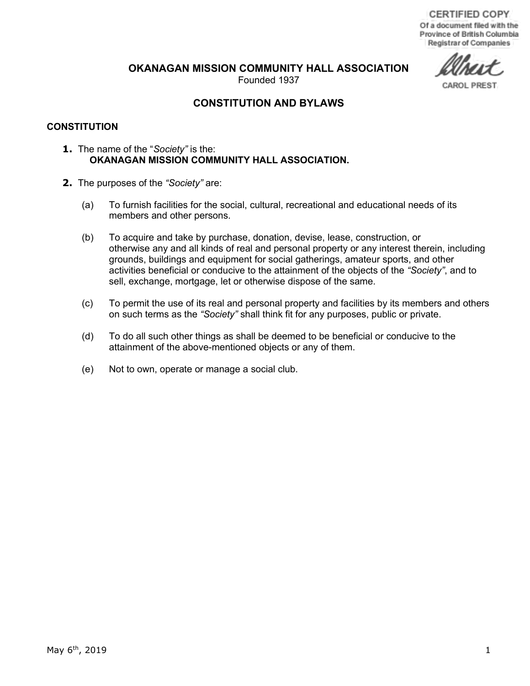**OKANAGAN MISSION COMMUNITY HALL ASSOCIATION** 

Founded 1937

CAROL PREST

# **CONSTITUTION AND BYLAWS**

## **CONSTITUTION**

- **1.** The name of the "*Society"* is the: **OKANAGAN MISSION COMMUNITY HALL ASSOCIATION.**
- **2.** The purposes of the *"Society"* are:
	- (a) To furnish facilities for the social, cultural, recreational and educational needs of its members and other persons.
	- (b) To acquire and take by purchase, donation, devise, lease, construction, or otherwise any and all kinds of real and personal property or any interest therein, including grounds, buildings and equipment for social gatherings, amateur sports, and other activities beneficial or conducive to the attainment of the objects of the *"Society"*, and to sell, exchange, mortgage, let or otherwise dispose of the same.
	- (c) To permit the use of its real and personal property and facilities by its members and others on such terms as the *"Society"* shall think fit for any purposes, public or private.
	- (d) To do all such other things as shall be deemed to be beneficial or conducive to the attainment of the above-mentioned objects or any of them.
	- (e) Not to own, operate or manage a social club.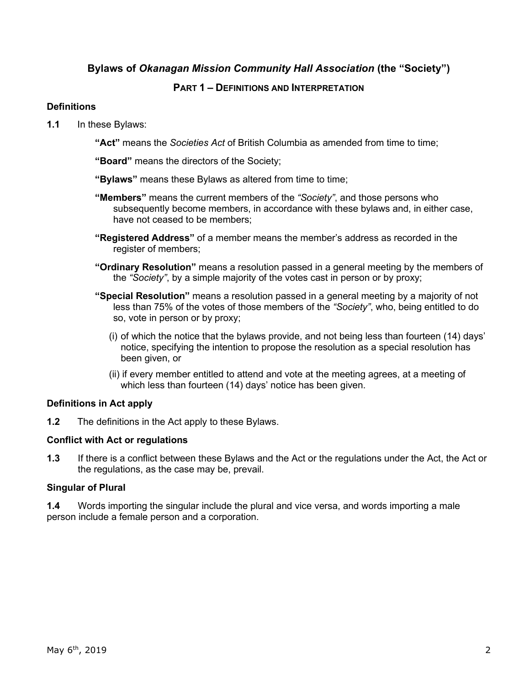# **Bylaws of** *Okanagan Mission Community Hall Association* **(the "Society")**

# **PART 1 – DEFINITIONS AND INTERPRETATION**

# **Definitions**

- **1.1** In these Bylaws:
	- **"Act"** means the *Societies Act* of British Columbia as amended from time to time;
	- **"Board"** means the directors of the Society;
	- **"Bylaws"** means these Bylaws as altered from time to time;
	- **"Members"** means the current members of the *"Society"*, and those persons who subsequently become members, in accordance with these bylaws and, in either case, have not ceased to be members;
	- **"Registered Address"** of a member means the member's address as recorded in the register of members:
	- **"Ordinary Resolution"** means a resolution passed in a general meeting by the members of the *"Society"*, by a simple majority of the votes cast in person or by proxy;
	- **"Special Resolution"** means a resolution passed in a general meeting by a majority of not less than 75% of the votes of those members of the *"Society"*, who, being entitled to do so, vote in person or by proxy;
		- (i) of which the notice that the bylaws provide, and not being less than fourteen (14) days' notice, specifying the intention to propose the resolution as a special resolution has been given, or
		- (ii) if every member entitled to attend and vote at the meeting agrees, at a meeting of which less than fourteen (14) days' notice has been given.

# **Definitions in Act apply**

**1.2** The definitions in the Act apply to these Bylaws.

# **Conflict with Act or regulations**

**1.3** If there is a conflict between these Bylaws and the Act or the regulations under the Act, the Act or the regulations, as the case may be, prevail.

# **Singular of Plural**

**1.4** Words importing the singular include the plural and vice versa, and words importing a male person include a female person and a corporation.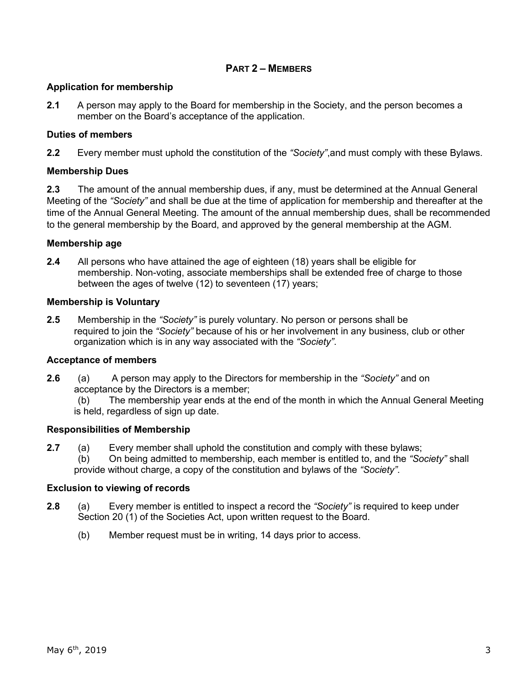# **PART 2 – MEMBERS**

## **Application for membership**

**2.1** A person may apply to the Board for membership in the Society, and the person becomes a member on the Board's acceptance of the application.

# **Duties of members**

**2.2** Every member must uphold the constitution of the *"Society"*,and must comply with these Bylaws.

# **Membership Dues**

**2.3** The amount of the annual membership dues, if any, must be determined at the Annual General Meeting of the *"Society"* and shall be due at the time of application for membership and thereafter at the time of the Annual General Meeting. The amount of the annual membership dues, shall be recommended to the general membership by the Board, and approved by the general membership at the AGM.

# **Membership age**

**2.4** All persons who have attained the age of eighteen (18) years shall be eligible for membership. Non-voting, associate memberships shall be extended free of charge to those between the ages of twelve (12) to seventeen (17) years;

# **Membership is Voluntary**

**2.5** Membership in the *"Society"* is purely voluntary. No person or persons shall be required to join the *"Society"* because of his or her involvement in any business, club or other organization which is in any way associated with the *"Society"*.

# **Acceptance of members**

- **2.6** (a) A person may apply to the Directors for membership in the *"Society"* and on acceptance by the Directors is a member;
	- (b) The membership year ends at the end of the month in which the Annual General Meeting is held, regardless of sign up date.

# **Responsibilities of Membership**

- **2.7** (a) Every member shall uphold the constitution and comply with these bylaws;
	- (b) On being admitted to membership, each member is entitled to, and the *"Society"* shall provide without charge, a copy of the constitution and bylaws of the *"Society"*.

# **Exclusion to viewing of records**

- **2.8** (a) Every member is entitled to inspect a record the *"Society"* is required to keep under Section 20 (1) of the Societies Act, upon written request to the Board.
	- (b) Member request must be in writing, 14 days prior to access.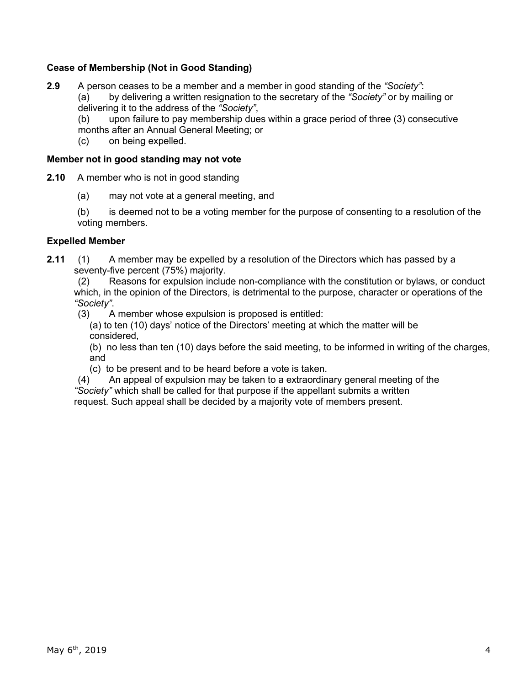# **Cease of Membership (Not in Good Standing)**

**2.9** A person ceases to be a member and a member in good standing of the *"Society"*: (a) by delivering a written resignation to the secretary of the *"Society"* or by mailing or delivering it to the address of the *"Society"*,

(b) upon failure to pay membership dues within a grace period of three (3) consecutive months after an Annual General Meeting; or

(c) on being expelled.

## **Member not in good standing may not vote**

- **2.10** A member who is not in good standing
	- (a) may not vote at a general meeting, and

(b) is deemed not to be a voting member for the purpose of consenting to a resolution of the voting members.

## **Expelled Member**

**2.11** (1) A member may be expelled by a resolution of the Directors which has passed by a seventy-five percent (75%) majority.

(2) Reasons for expulsion include non-compliance with the constitution or bylaws, or conduct which, in the opinion of the Directors, is detrimental to the purpose, character or operations of the *"Society"*.

(3) A member whose expulsion is proposed is entitled:

(a) to ten (10) days' notice of the Directors' meeting at which the matter will be considered,

(b) no less than ten (10) days before the said meeting, to be informed in writing of the charges, and

(c) to be present and to be heard before a vote is taken.

(4) An appeal of expulsion may be taken to a extraordinary general meeting of the *"Society"* which shall be called for that purpose if the appellant submits a written

request. Such appeal shall be decided by a majority vote of members present.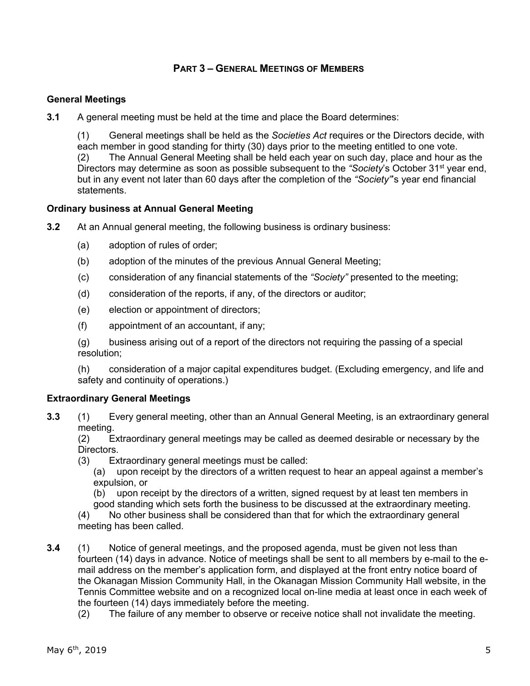# **PART 3 – GENERAL MEETINGS OF MEMBERS**

# **General Meetings**

**3.1** A general meeting must be held at the time and place the Board determines:

(1) General meetings shall be held as the *Societies Act* requires or the Directors decide, with each member in good standing for thirty (30) days prior to the meeting entitled to one vote. (2) The Annual General Meeting shall be held each year on such day, place and hour as the Directors may determine as soon as possible subsequent to the "Society's October 31<sup>st</sup> year end, but in any event not later than 60 days after the completion of the *"Society"*'s year end financial statements.

## **Ordinary business at Annual General Meeting**

- **3.2** At an Annual general meeting, the following business is ordinary business:
	- (a) adoption of rules of order;
	- (b) adoption of the minutes of the previous Annual General Meeting;
	- (c) consideration of any financial statements of the *"Society"* presented to the meeting;
	- (d) consideration of the reports, if any, of the directors or auditor;
	- (e) election or appointment of directors;
	- (f) appointment of an accountant, if any;

(g) business arising out of a report of the directors not requiring the passing of a special resolution;

(h) consideration of a major capital expenditures budget. (Excluding emergency, and life and safety and continuity of operations.)

## **Extraordinary General Meetings**

**3.3** (1) Every general meeting, other than an Annual General Meeting, is an extraordinary general meeting.

(2) Extraordinary general meetings may be called as deemed desirable or necessary by the Directors.

- (3) Extraordinary general meetings must be called:
	- (a) upon receipt by the directors of a written request to hear an appeal against a member's expulsion, or
	- (b) upon receipt by the directors of a written, signed request by at least ten members in good standing which sets forth the business to be discussed at the extraordinary meeting.

(4) No other business shall be considered than that for which the extraordinary general meeting has been called.

- **3.4** (1) Notice of general meetings, and the proposed agenda, must be given not less than fourteen (14) days in advance. Notice of meetings shall be sent to all members by e-mail to the email address on the member's application form, and displayed at the front entry notice board of the Okanagan Mission Community Hall, in the Okanagan Mission Community Hall website, in the Tennis Committee website and on a recognized local on-line media at least once in each week of the fourteen (14) days immediately before the meeting.
	- (2) The failure of any member to observe or receive notice shall not invalidate the meeting.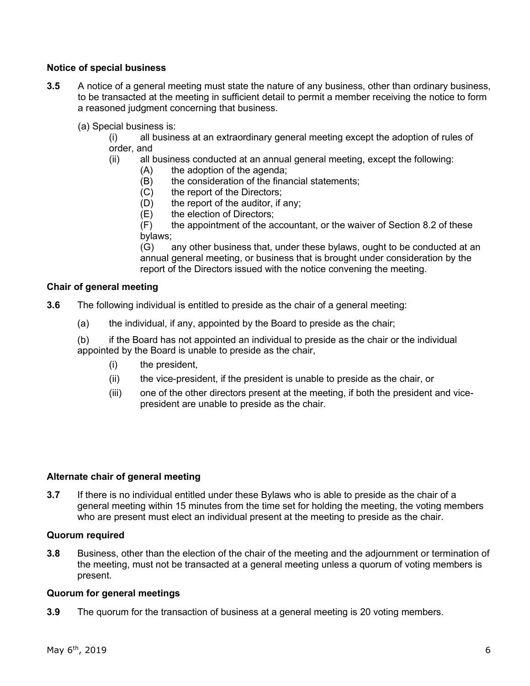# **Notice of special business**

- **3.5** A notice of a general meeting must state the nature of any business, other than ordinary business, to be transacted at the meeting in sufficient detail to permit a member receiving the notice to form a reasoned judgment concerning that business.
	- (a) Special business is:
		- (i) all business at an extraordinary general meeting except the adoption of rules of order, and
		- (ii) all business conducted at an annual general meeting, except the following:
			- (A) the adoption of the agenda;
			- (B) the consideration of the financial statements;
			- (C) the report of the Directors;
			- (D) the report of the auditor, if any;
			- (E) the election of Directors;

(F) the appointment of the accountant, or the waiver of Section 8.2 of these bylaws;

 (G) any other business that, under these bylaws, ought to be conducted at an annual general meeting, or business that is brought under consideration by the report of the Directors issued with the notice convening the meeting.

## **Chair of general meeting**

**3.6** The following individual is entitled to preside as the chair of a general meeting:

(a) the individual, if any, appointed by the Board to preside as the chair;

(b) if the Board has not appointed an individual to preside as the chair or the individual appointed by the Board is unable to preside as the chair,

- (i) the president,
- (ii) the vice-president, if the president is unable to preside as the chair, or
- (iii) one of the other directors present at the meeting, if both the president and vicepresident are unable to preside as the chair.

# **Alternate chair of general meeting**

**3.7** If there is no individual entitled under these Bylaws who is able to preside as the chair of a general meeting within 15 minutes from the time set for holding the meeting, the voting members who are present must elect an individual present at the meeting to preside as the chair.

## **Quorum required**

**3.8** Business, other than the election of the chair of the meeting and the adjournment or termination of the meeting, must not be transacted at a general meeting unless a quorum of voting members is present.

## **Quorum for general meetings**

**3.9** The quorum for the transaction of business at a general meeting is 20 voting members.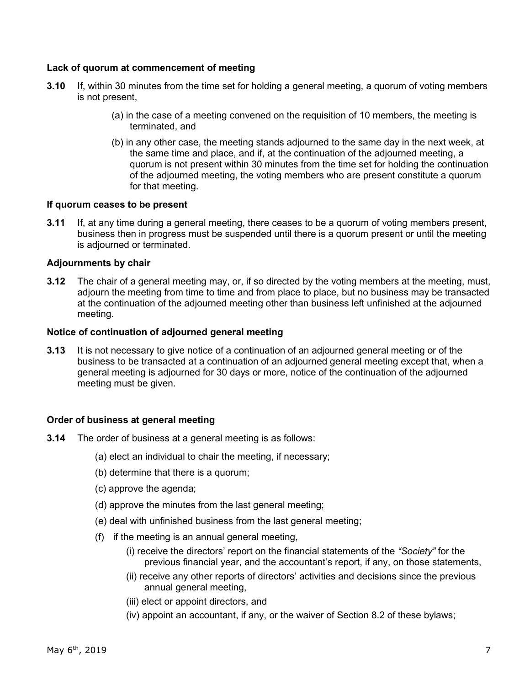## **Lack of quorum at commencement of meeting**

- **3.10** If, within 30 minutes from the time set for holding a general meeting, a quorum of voting members is not present,
	- (a) in the case of a meeting convened on the requisition of 10 members, the meeting is terminated, and
	- (b) in any other case, the meeting stands adjourned to the same day in the next week, at the same time and place, and if, at the continuation of the adjourned meeting, a quorum is not present within 30 minutes from the time set for holding the continuation of the adjourned meeting, the voting members who are present constitute a quorum for that meeting.

## **If quorum ceases to be present**

**3.11** If, at any time during a general meeting, there ceases to be a quorum of voting members present, business then in progress must be suspended until there is a quorum present or until the meeting is adjourned or terminated.

## **Adjournments by chair**

**3.12** The chair of a general meeting may, or, if so directed by the voting members at the meeting, must, adjourn the meeting from time to time and from place to place, but no business may be transacted at the continuation of the adjourned meeting other than business left unfinished at the adjourned meeting.

#### **Notice of continuation of adjourned general meeting**

**3.13** It is not necessary to give notice of a continuation of an adjourned general meeting or of the business to be transacted at a continuation of an adjourned general meeting except that, when a general meeting is adjourned for 30 days or more, notice of the continuation of the adjourned meeting must be given.

## **Order of business at general meeting**

- **3.14** The order of business at a general meeting is as follows:
	- (a) elect an individual to chair the meeting, if necessary;
	- (b) determine that there is a quorum;
	- (c) approve the agenda;
	- (d) approve the minutes from the last general meeting;
	- (e) deal with unfinished business from the last general meeting;
	- (f) if the meeting is an annual general meeting,
		- (i) receive the directors' report on the financial statements of the *"Society"* for the previous financial year, and the accountant's report, if any, on those statements,
		- (ii) receive any other reports of directors' activities and decisions since the previous annual general meeting,
		- (iii) elect or appoint directors, and
		- (iv) appoint an accountant, if any, or the waiver of Section 8.2 of these bylaws;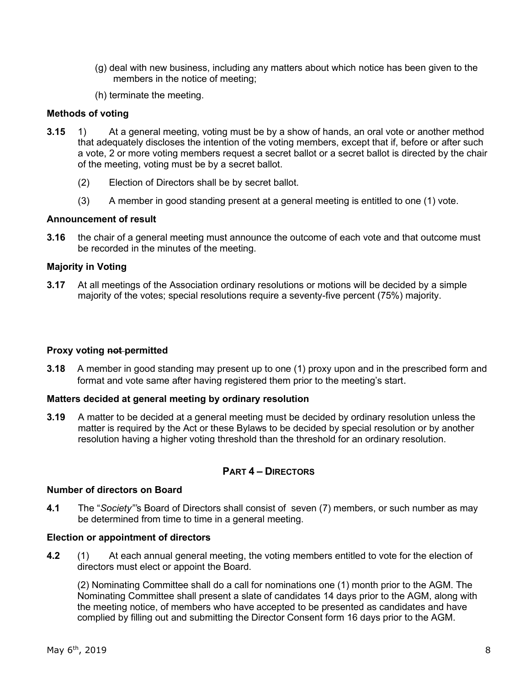- (g) deal with new business, including any matters about which notice has been given to the members in the notice of meeting;
- (h) terminate the meeting.

## **Methods of voting**

- **3.15** 1) At a general meeting, voting must be by a show of hands, an oral vote or another method that adequately discloses the intention of the voting members, except that if, before or after such a vote, 2 or more voting members request a secret ballot or a secret ballot is directed by the chair of the meeting, voting must be by a secret ballot.
	- (2) Election of Directors shall be by secret ballot.
	- (3) A member in good standing present at a general meeting is entitled to one (1) vote.

## **Announcement of result**

**3.16** the chair of a general meeting must announce the outcome of each vote and that outcome must be recorded in the minutes of the meeting.

## **Majority in Voting**

**3.17** At all meetings of the Association ordinary resolutions or motions will be decided by a simple majority of the votes; special resolutions require a seventy-five percent (75%) majority.

## **Proxy voting not permitted**

**3.18** A member in good standing may present up to one (1) proxy upon and in the prescribed form and format and vote same after having registered them prior to the meeting's start.

## **Matters decided at general meeting by ordinary resolution**

**3.19** A matter to be decided at a general meeting must be decided by ordinary resolution unless the matter is required by the Act or these Bylaws to be decided by special resolution or by another resolution having a higher voting threshold than the threshold for an ordinary resolution.

# **PART 4 – DIRECTORS**

## **Number of directors on Board**

**4.1** The "*Society"'*s Board of Directors shall consist of seven (7) members, or such number as may be determined from time to time in a general meeting.

## **Election or appointment of directors**

**4.2** (1) At each annual general meeting, the voting members entitled to vote for the election of directors must elect or appoint the Board.

(2) Nominating Committee shall do a call for nominations one (1) month prior to the AGM. The Nominating Committee shall present a slate of candidates 14 days prior to the AGM, along with the meeting notice, of members who have accepted to be presented as candidates and have complied by filling out and submitting the Director Consent form 16 days prior to the AGM.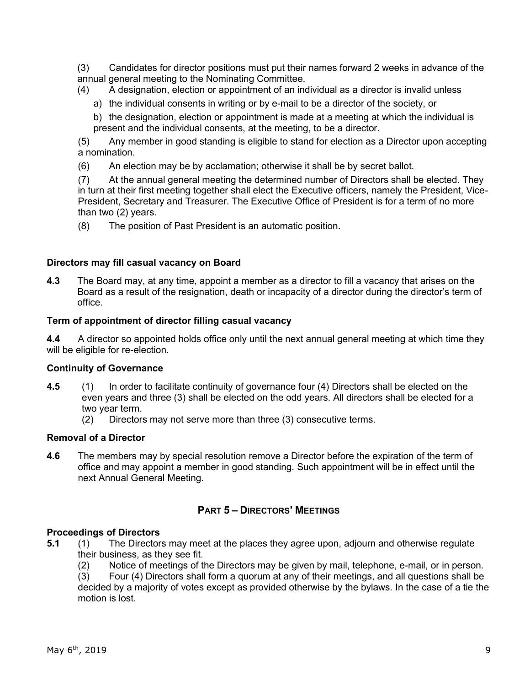(3) Candidates for director positions must put their names forward 2 weeks in advance of the annual general meeting to the Nominating Committee.

- (4) A designation, election or appointment of an individual as a director is invalid unless
	- a) the individual consents in writing or by e-mail to be a director of the society, or
	- b) the designation, election or appointment is made at a meeting at which the individual is present and the individual consents, at the meeting, to be a director.

(5) Any member in good standing is eligible to stand for election as a Director upon accepting a nomination.

(6) An election may be by acclamation; otherwise it shall be by secret ballot.

(7) At the annual general meeting the determined number of Directors shall be elected. They in turn at their first meeting together shall elect the Executive officers, namely the President, Vice-President, Secretary and Treasurer. The Executive Office of President is for a term of no more than two (2) years.

(8) The position of Past President is an automatic position.

## **Directors may fill casual vacancy on Board**

**4.3** The Board may, at any time, appoint a member as a director to fill a vacancy that arises on the Board as a result of the resignation, death or incapacity of a director during the director's term of office.

## **Term of appointment of director filling casual vacancy**

**4.4** A director so appointed holds office only until the next annual general meeting at which time they will be eligible for re-election.

## **Continuity of Governance**

- **4.5** (1) In order to facilitate continuity of governance four (4) Directors shall be elected on the even years and three (3) shall be elected on the odd years. All directors shall be elected for a two year term.
	- (2) Directors may not serve more than three (3) consecutive terms.

## **Removal of a Director**

**4.6** The members may by special resolution remove a Director before the expiration of the term of office and may appoint a member in good standing. Such appointment will be in effect until the next Annual General Meeting.

# **PART 5 – DIRECTORS' MEETINGS**

# **Proceedings of Directors**

- **5.1** (1) The Directors may meet at the places they agree upon, adjourn and otherwise regulate their business, as they see fit.
	- (2) Notice of meetings of the Directors may be given by mail, telephone, e-mail, or in person.

(3) Four (4) Directors shall form a quorum at any of their meetings, and all questions shall be decided by a majority of votes except as provided otherwise by the bylaws. In the case of a tie the motion is lost.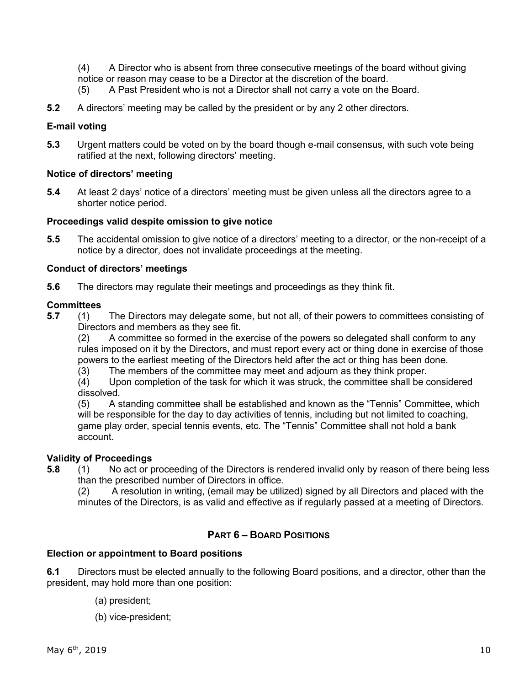(4) A Director who is absent from three consecutive meetings of the board without giving notice or reason may cease to be a Director at the discretion of the board.

- (5) A Past President who is not a Director shall not carry a vote on the Board.
- **5.2** A directors' meeting may be called by the president or by any 2 other directors.

## **E-mail voting**

**5.3** Urgent matters could be voted on by the board though e-mail consensus, with such vote being ratified at the next, following directors' meeting.

# **Notice of directors' meeting**

**5.4** At least 2 days' notice of a directors' meeting must be given unless all the directors agree to a shorter notice period.

## **Proceedings valid despite omission to give notice**

**5.5** The accidental omission to give notice of a directors' meeting to a director, or the non-receipt of a notice by a director, does not invalidate proceedings at the meeting.

## **Conduct of directors' meetings**

**5.6** The directors may regulate their meetings and proceedings as they think fit.

## **Committees**

**5.7** (1) The Directors may delegate some, but not all, of their powers to committees consisting of Directors and members as they see fit.

(2) A committee so formed in the exercise of the powers so delegated shall conform to any rules imposed on it by the Directors, and must report every act or thing done in exercise of those powers to the earliest meeting of the Directors held after the act or thing has been done.

(3) The members of the committee may meet and adjourn as they think proper.

(4) Upon completion of the task for which it was struck, the committee shall be considered dissolved.

(5) A standing committee shall be established and known as the "Tennis" Committee, which will be responsible for the day to day activities of tennis, including but not limited to coaching, game play order, special tennis events, etc. The "Tennis" Committee shall not hold a bank account.

## **Validity of Proceedings**

**5.8** (1) No act or proceeding of the Directors is rendered invalid only by reason of there being less than the prescribed number of Directors in office.

(2) A resolution in writing, (email may be utilized) signed by all Directors and placed with the minutes of the Directors, is as valid and effective as if regularly passed at a meeting of Directors.

# **PART 6 – BOARD POSITIONS**

## **Election or appointment to Board positions**

**6.1** Directors must be elected annually to the following Board positions, and a director, other than the president, may hold more than one position:

- (a) president;
- (b) vice-president;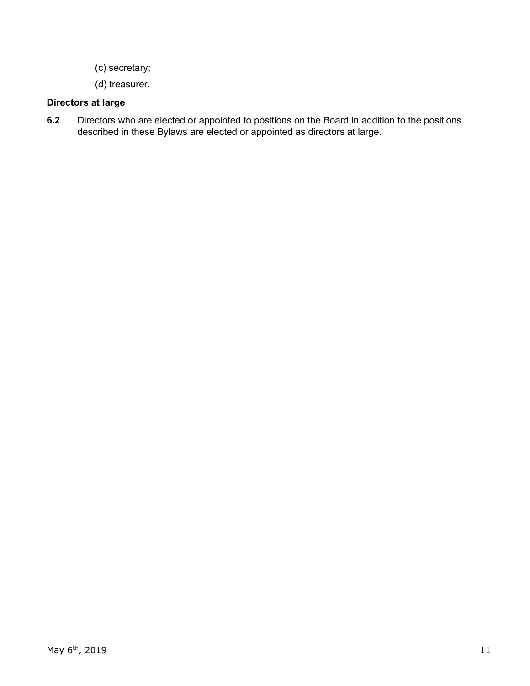- (c) secretary;
- (d) treasurer.

# **Directors at large**

**6.2** Directors who are elected or appointed to positions on the Board in addition to the positions described in these Bylaws are elected or appointed as directors at large.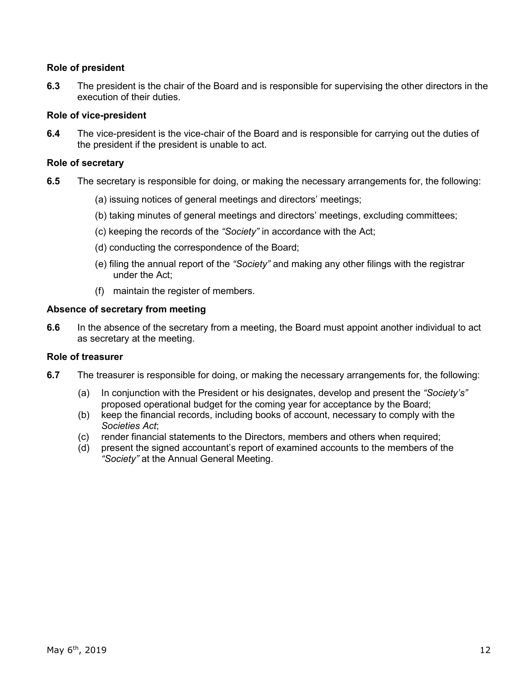# **Role of president**

**6.3** The president is the chair of the Board and is responsible for supervising the other directors in the execution of their duties.

## **Role of vice-president**

**6.4** The vice-president is the vice-chair of the Board and is responsible for carrying out the duties of the president if the president is unable to act.

## **Role of secretary**

- **6.5** The secretary is responsible for doing, or making the necessary arrangements for, the following:
	- (a) issuing notices of general meetings and directors' meetings;
	- (b) taking minutes of general meetings and directors' meetings, excluding committees;
	- (c) keeping the records of the *"Society"* in accordance with the Act;
	- (d) conducting the correspondence of the Board;
	- (e) filing the annual report of the *"Society"* and making any other filings with the registrar under the Act;
	- (f) maintain the register of members.

## **Absence of secretary from meeting**

**6.6** In the absence of the secretary from a meeting, the Board must appoint another individual to act as secretary at the meeting.

## **Role of treasurer**

- **6.7** The treasurer is responsible for doing, or making the necessary arrangements for, the following:
	- (a) In conjunction with the President or his designates, develop and present the *"Society's"* proposed operational budget for the coming year for acceptance by the Board;
	- (b) keep the financial records, including books of account, necessary to comply with the *Societies Act*;
	- (c) render financial statements to the Directors, members and others when required;
	- (d) present the signed accountant's report of examined accounts to the members of the *"Society"* at the Annual General Meeting.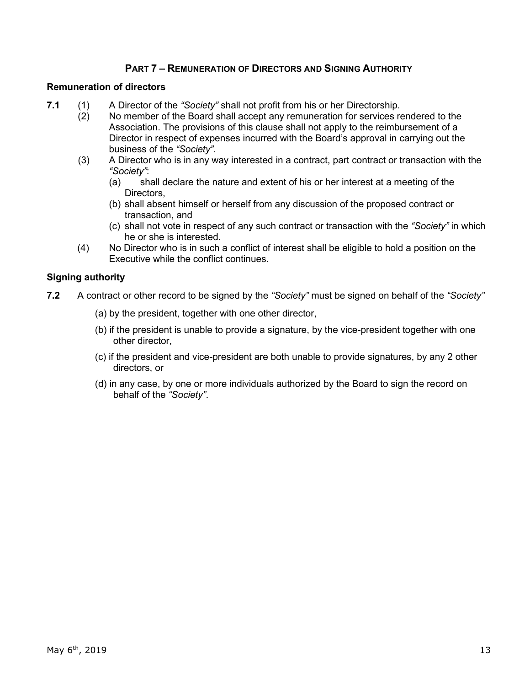# **PART 7 – REMUNERATION OF DIRECTORS AND SIGNING AUTHORITY**

## **Remuneration of directors**

- **7.1** (1) A Director of the *"Society"* shall not profit from his or her Directorship.
	- $(2)$  No member of the Board shall accept any remuneration for services rendered to the Association. The provisions of this clause shall not apply to the reimbursement of a Director in respect of expenses incurred with the Board's approval in carrying out the business of the *"Society"*.
	- (3) A Director who is in any way interested in a contract, part contract or transaction with the *"Society"*:
		- (a) shall declare the nature and extent of his or her interest at a meeting of the Directors,
		- (b) shall absent himself or herself from any discussion of the proposed contract or transaction, and
		- (c) shall not vote in respect of any such contract or transaction with the *"Society"* in which he or she is interested.
	- (4) No Director who is in such a conflict of interest shall be eligible to hold a position on the Executive while the conflict continues.

## **Signing authority**

- **7.2** A contract or other record to be signed by the *"Society"* must be signed on behalf of the *"Society"*
	- (a) by the president, together with one other director,
	- (b) if the president is unable to provide a signature, by the vice-president together with one other director,
	- (c) if the president and vice-president are both unable to provide signatures, by any 2 other directors, or
	- (d) in any case, by one or more individuals authorized by the Board to sign the record on behalf of the *"Society"*.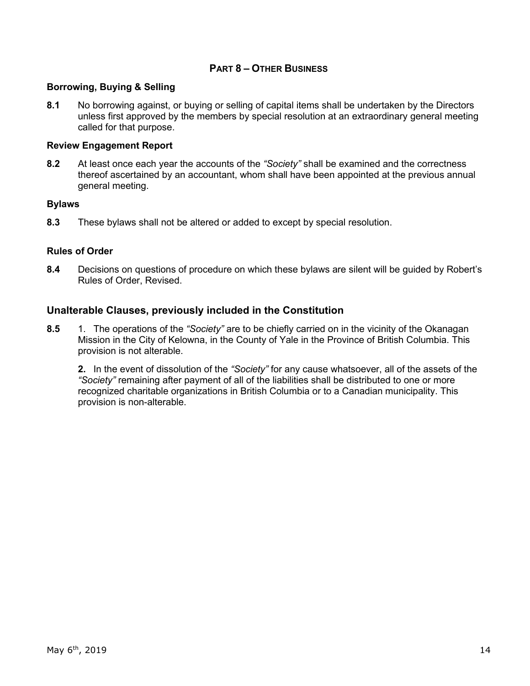# **PART 8 – OTHER BUSINESS**

## **Borrowing, Buying & Selling**

**8.1** No borrowing against, or buying or selling of capital items shall be undertaken by the Directors unless first approved by the members by special resolution at an extraordinary general meeting called for that purpose.

#### **Review Engagement Report**

**8.2** At least once each year the accounts of the *"Society"* shall be examined and the correctness thereof ascertained by an accountant, whom shall have been appointed at the previous annual general meeting.

#### **Bylaws**

**8.3** These bylaws shall not be altered or added to except by special resolution.

## **Rules of Order**

**8.4** Decisions on questions of procedure on which these bylaws are silent will be guided by Robert's Rules of Order, Revised.

## **Unalterable Clauses, previously included in the Constitution**

**8.5** 1. The operations of the *"Society"* are to be chiefly carried on in the vicinity of the Okanagan Mission in the City of Kelowna, in the County of Yale in the Province of British Columbia. This provision is not alterable.

**2.** In the event of dissolution of the *"Society"* for any cause whatsoever, all of the assets of the *"Society"* remaining after payment of all of the liabilities shall be distributed to one or more recognized charitable organizations in British Columbia or to a Canadian municipality. This provision is non-alterable.